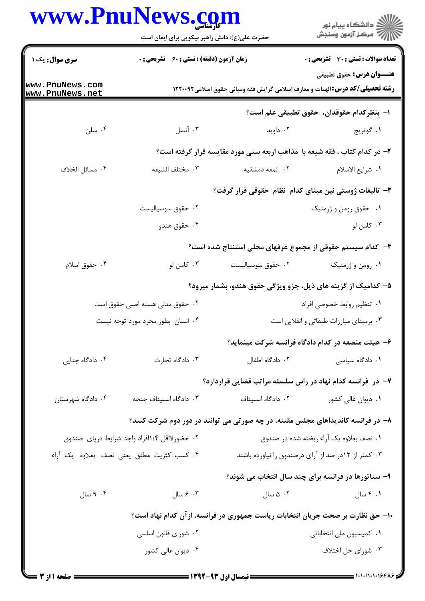## **WWW PnuNews com**

| www.PnuNews.com                               | حضرت علی(ع): دانش راهبر نیکویی برای ایمان است         |                   | ڪ دانشڪاه پيام نور<br>//> مرڪز آزمون وسنڊش                                           |
|-----------------------------------------------|-------------------------------------------------------|-------------------|--------------------------------------------------------------------------------------|
| <b>سری سوال :</b> یک ۱                        | <b>زمان آزمون (دقیقه) : تستی : 60 ٪ تشریحی : 0</b>    |                   | <b>تعداد سوالات : تستی : 30 ٪ تشریحی : 0</b><br><b>عنـــوان درس:</b> حقوق تطبيقي     |
| www.PnuNews.com<br>www.PnuNews.net            |                                                       |                   | <b>رشته تحصیلی/کد درس:</b> الهیات و معارف اسلامی گرایش فقه ومبانی حقوق اسلامی1۲۲۰۰۹۲ |
|                                               |                                                       |                   | ا– بنظركدام حقوقدان، حقوق تطبيقي علم است؟                                            |
| ۰۴ سلن                                        | ۰۳ آنسل                                               | ۰۲ داوید          | ١. گوتريج                                                                            |
|                                               |                                                       |                   | ۲- در کدام کتاب ، فقه شیعه با ًمذاهب اربعه سنی مورد مقایسه قرار گرفته است؟           |
| ۰۴ مسائل الخلاف                               | ٠٣ مختلف الشيعه                                       | ٢. لمعه دمشقيه    | ١. شرايع الاسلام                                                                     |
|                                               | ۳– تالیفات ژوستی نین مبنای کدام نظام حقوقی قرار گرفت؟ |                   |                                                                                      |
|                                               | ۰۲ حقوق سوسیالیست                                     |                   | ۰۱ حقوق رومن و ژرمنیک                                                                |
|                                               | ۰۴ حقوق هندو                                          |                   | ۰۳ کامن لو                                                                           |
|                                               |                                                       |                   | ۴– کدام سیستم حقوقی از مجموع عرفهای محلی استنتاج شده است؟                            |
| ۰۴ حقوق اسلام                                 | ۰۳ کامن لو                                            | ۰۲ حقوق سوسیالیست | ۰۱ رومن و ژرمنیک                                                                     |
|                                               |                                                       |                   | ۵– کدامیک از گزینه های ذیل، جزو ویژگی حقوق هندو، بشمار میرود؟                        |
| ۰۲ حقوق مدنی هسته اصلی حقوق است               |                                                       |                   | ٠١. تنظيم روابط خصوصي افراد                                                          |
| ۰۴ انسان بطور مجرد مورد توجه نيست             |                                                       |                   | ۰۳ برمبنای مبارزات طبقاتی و انقلابی است                                              |
|                                               |                                                       |                   | ۶– هیئت منصفه در کدام دادگاه فرانسه شرکت مینماید؟                                    |
| ۰۴ دادگاه جنایی                               | ۰۳ دادگاه تجارت                                       | ۰۲ دادگاه اطفال   | ۰۱ دادگاه سیاسی                                                                      |
|                                               |                                                       |                   | ۷– در ًفرانسه کدام نهاد در راس سلسله مراتب قضایی قراردارد؟                           |
| ۰۴ دادگاه شهرستان                             | ۰۳ دادگاه استیناف جنحه                                | ٠٢ دادگاه استيناف | ۰۱ دیوان عالی کشور                                                                   |
|                                               |                                                       |                   | ۸– در فرانسه کاندیداهای مجلس مقننه، در چه صورتی می توانند در دور دوم شرکت کنند؟      |
| ۰۲ حضورلااقل ۱/۴افراد واجد شرايط درپاى  صندوق |                                                       |                   | ۰۱ نصف بعلاوه یک آراء ریخته شده در صندوق                                             |
|                                               | ۰۴ كسب اكثريت مطلق يعنى نصف بعلاوه يك آراء            |                   | ۰۳ کمتر از ۱۲در صد از آرای درصندوق را نیاورده باشند                                  |
|                                               |                                                       |                   | ۹- سناتورها در فرانسه برای چند سال انتخاب می شوند؟                                   |
| ۰۴ سال                                        | ۰۳ مسال                                               | ۰۲ ۵ سال          | ۰۱ ۴ سال                                                                             |
|                                               |                                                       |                   | ۱۰– حق نظارت بر صحت جریان انتخابات ریاست جمهوری در فرانسه، از آن کدام نهاد است؟      |
|                                               | ۰۲ شورای قانون اساسی                                  |                   | ۰۱ کمیسیون ملی انتخاباتی                                                             |
|                                               | ۰۴ دیوان عالی کشور                                    |                   | ۰۳ شورای حل اختلاف                                                                   |
|                                               |                                                       |                   |                                                                                      |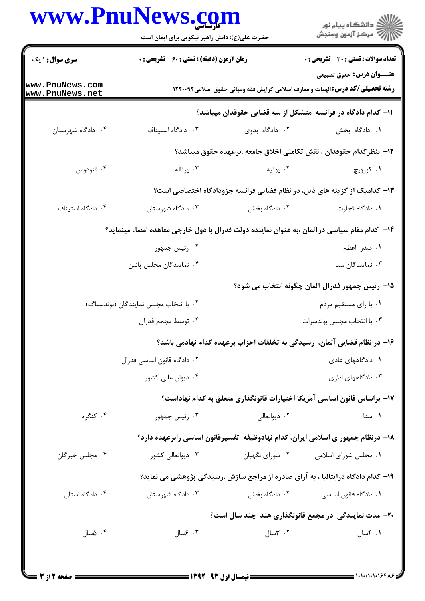## www.PnuNews.com

|                                    | www.PnuNews.com<br>حضرت علی(ع): دانش راهبر نیکویی برای ایمان است                             |                       | ڪ دانشڪاه پيام نور<br> 7- مرڪز آزمون وسنڊش                                                                               |  |
|------------------------------------|----------------------------------------------------------------------------------------------|-----------------------|--------------------------------------------------------------------------------------------------------------------------|--|
| <b>سری سوال : ۱ یک</b>             | <b>زمان آزمون (دقیقه) : تستی : 60 ٪ تشریحی : 0</b>                                           |                       | تعداد سوالات : تستي : 30 - تشريحي : 0                                                                                    |  |
| www.PnuNews.com<br>www.PnuNews.net |                                                                                              |                       | <b>عنـــوان درس:</b> حقوق تطبيقي<br><b>رشته تحصیلی/کد درس:</b> الهیات و معارف اسلامی گرایش فقه ومبانی حقوق اسلامی1۲۲۰۰۹۲ |  |
|                                    |                                                                                              |                       | 1۱– کدام دادگاه در فرانسه ًمتشکل از سه قضایی حقوقدان میباشد؟                                                             |  |
| ۰۴ دادگاه شهرستان                  | ٠٣ دادگاه استيناف                                                                            | ۰۲ دادگاه بدوی        | ٠١. دادگاه بخش                                                                                                           |  |
|                                    |                                                                                              |                       | 1۲– بنظرکدام حقوقدان ، نقش تکاملی اخلاق جامعه ،برعهده حقوق میباشد؟                                                       |  |
| ۰۴ تئودوس                          | ۰۳ پرتاله                                                                                    | ۰۲ پوتيه              | ۰۱ کورويچ                                                                                                                |  |
|                                    |                                                                                              |                       | ۱۳– کدامیک از گزینه های ذیل، در نظام قضایی فرانسه جزودادگاه اختصاصی است؟                                                 |  |
| ۰۴ دادگاه استيناف                  | ۰۳ دادگاه شهرستان                                                                            | ۲. دادگاه بخش         | ٠١. دادگاه تجارت                                                                                                         |  |
|                                    | ۱۴– کدام مقام سیاسی در آلمان ،به عنوان نماینده دولت فدرال با دول خارجی معاهده امضاء مینماید؟ |                       |                                                                                                                          |  |
|                                    | ۰۲ رئیس جمهور                                                                                |                       | ۰۱ صدر اعظم                                                                                                              |  |
|                                    | ۰۴ نمایندگان مجلس پائین                                                                      |                       | ۰۳ نمایندگان سنا                                                                                                         |  |
|                                    |                                                                                              |                       | 1۵– رئیس جمهور فدرال آلمان چگونه انتخاب می شود؟                                                                          |  |
|                                    | ٠٢ با انتخاب مجلس نمايندگان (بوندستاگ)                                                       | ۰۱ با رای مستقیم مردم |                                                                                                                          |  |
|                                    | ۰۴ توسط مجمع فدرال                                                                           |                       | ۰۳ با انتخاب مجلس بوندسرات                                                                                               |  |
|                                    |                                                                                              |                       | ۱۶– در نظام قضایی آلمان، رسیدگی به تخلفات احزاب برعهده کدام نهادمی باشد؟                                                 |  |
|                                    | ۰۲ دادگاه قانون اساسی فدرال                                                                  |                       | ۰۱ دادگاههای عادی                                                                                                        |  |
|                                    | ۰۴ دیوان عالی کشور                                                                           |                       | ۰۳ دادگاههای اداری                                                                                                       |  |
|                                    |                                                                                              |                       | ۱۷– براساس قانون اساسی آمریکا اختیارات قانونگذاری متعلق به کدام نهاداست؟                                                 |  |
| ۰۴ کنگره                           | ۰۳ رئیس جمهور                                                                                | ۰۲ دیوانعالی          | ۰۱ سنا                                                                                                                   |  |
|                                    |                                                                                              |                       | ۱۸– درنظام جمهور ی اسلامی ایران، کدام نهادوظیفه تفسیرقانون اساسی رابرعهده دارد؟                                          |  |
| ۰۴ مجلس خبرگان                     | ۰۳ دیوانعالی کشور                                                                            | ۰۲ شورای نگهبان       | ۰۱ مجلس شورای اسلامی                                                                                                     |  |
|                                    |                                                                                              |                       | ۱۹- کدام دادگاه درایتالیا ، به آرای صادره از مراجع سازش ،رسیدگی پژوهشی می نماید؟                                         |  |
| ۰۴ دادگاه استان                    | ۰۳ دادگاه شهرستان                                                                            | ۰۲ دادگاه بخش         | ٠١. دادگاه قانون اساسي                                                                                                   |  |
|                                    |                                                                                              |                       | <b>۲۰</b> - مدت نمایندگی در مجمع قانونگذاری هند چند سال است؟                                                             |  |
| ۰۴ ۵سال                            | ۰۳ مسال                                                                                      | ۰۲ ۳سال               | ۰۱ ۴سال                                                                                                                  |  |